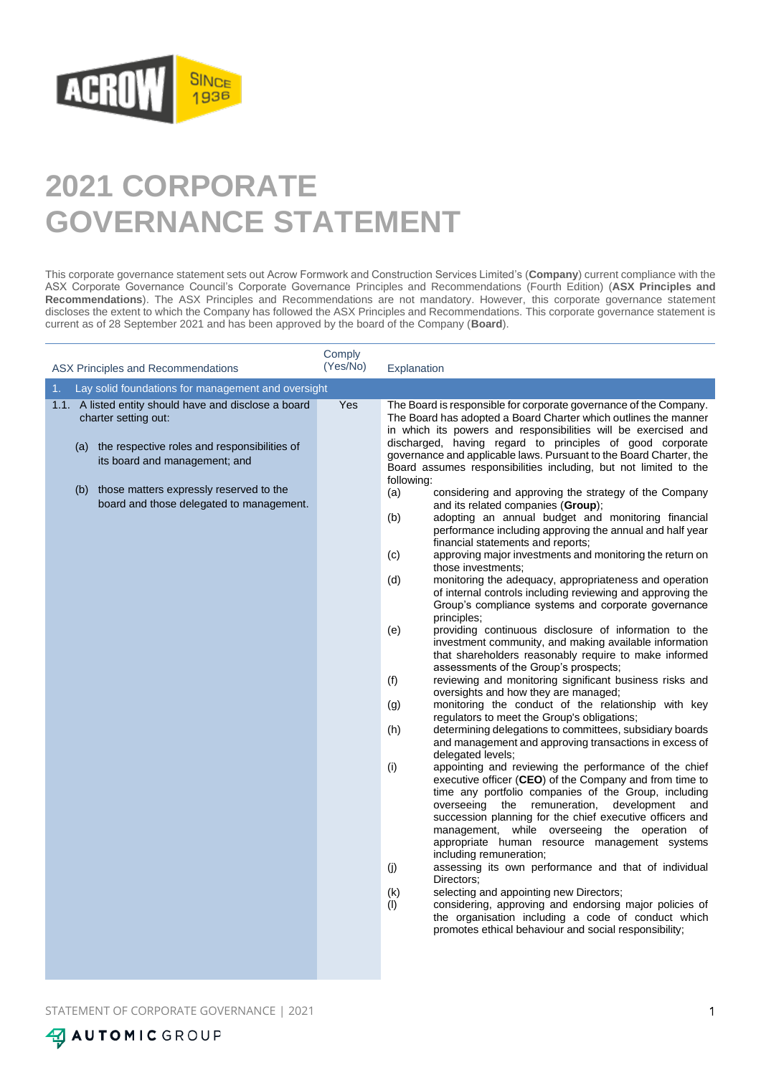

## **2021 CORPORATE GOVERNANCE STATEMENT**

This corporate governance statement sets out Acrow Formwork and Construction Services Limited's (**Company**) current compliance with the ASX Corporate Governance Council's Corporate Governance Principles and Recommendations (Fourth Edition) (**ASX Principles and Recommendations**). The ASX Principles and Recommendations are not mandatory. However, this corporate governance statement discloses the extent to which the Company has followed the ASX Principles and Recommendations. This corporate governance statement is current as of 28 September 2021 and has been approved by the board of the Company (**Board**).

| ASX Principles and Recommendations                                                                                                                                                                                                                               | Comply<br>(Yes/No) | Explanation                                                                                                                                                                                                                                                                                                                                                                                                                                                                                                                                                                                                                                                                                                                                                                                                                                                                                                                                                                                                                                                                                                                                                                                                                                                                                                                                                                                                                                                                                                                                                                                                                                                                                                                                                                                                                                                                                                                                                                                                                                                                                                                                                                                                                                                                                                                                         |
|------------------------------------------------------------------------------------------------------------------------------------------------------------------------------------------------------------------------------------------------------------------|--------------------|-----------------------------------------------------------------------------------------------------------------------------------------------------------------------------------------------------------------------------------------------------------------------------------------------------------------------------------------------------------------------------------------------------------------------------------------------------------------------------------------------------------------------------------------------------------------------------------------------------------------------------------------------------------------------------------------------------------------------------------------------------------------------------------------------------------------------------------------------------------------------------------------------------------------------------------------------------------------------------------------------------------------------------------------------------------------------------------------------------------------------------------------------------------------------------------------------------------------------------------------------------------------------------------------------------------------------------------------------------------------------------------------------------------------------------------------------------------------------------------------------------------------------------------------------------------------------------------------------------------------------------------------------------------------------------------------------------------------------------------------------------------------------------------------------------------------------------------------------------------------------------------------------------------------------------------------------------------------------------------------------------------------------------------------------------------------------------------------------------------------------------------------------------------------------------------------------------------------------------------------------------------------------------------------------------------------------------------------------------|
| Lay solid foundations for management and oversight<br>1.                                                                                                                                                                                                         |                    |                                                                                                                                                                                                                                                                                                                                                                                                                                                                                                                                                                                                                                                                                                                                                                                                                                                                                                                                                                                                                                                                                                                                                                                                                                                                                                                                                                                                                                                                                                                                                                                                                                                                                                                                                                                                                                                                                                                                                                                                                                                                                                                                                                                                                                                                                                                                                     |
| 1.1. A listed entity should have and disclose a board<br>charter setting out:<br>(a) the respective roles and responsibilities of<br>its board and management; and<br>those matters expressly reserved to the<br>(b)<br>board and those delegated to management. | Yes                | The Board is responsible for corporate governance of the Company.<br>The Board has adopted a Board Charter which outlines the manner<br>in which its powers and responsibilities will be exercised and<br>discharged, having regard to principles of good corporate<br>governance and applicable laws. Pursuant to the Board Charter, the<br>Board assumes responsibilities including, but not limited to the<br>following:<br>(a)<br>considering and approving the strategy of the Company<br>and its related companies (Group);<br>(b)<br>adopting an annual budget and monitoring financial<br>performance including approving the annual and half year<br>financial statements and reports;<br>(c)<br>approving major investments and monitoring the return on<br>those investments;<br>(d)<br>monitoring the adequacy, appropriateness and operation<br>of internal controls including reviewing and approving the<br>Group's compliance systems and corporate governance<br>principles;<br>(e)<br>providing continuous disclosure of information to the<br>investment community, and making available information<br>that shareholders reasonably require to make informed<br>assessments of the Group's prospects;<br>reviewing and monitoring significant business risks and<br>(f)<br>oversights and how they are managed;<br>monitoring the conduct of the relationship with key<br>(g)<br>regulators to meet the Group's obligations;<br>(h)<br>determining delegations to committees, subsidiary boards<br>and management and approving transactions in excess of<br>delegated levels;<br>(i)<br>appointing and reviewing the performance of the chief<br>executive officer (CEO) of the Company and from time to<br>time any portfolio companies of the Group, including<br>overseeing the remuneration,<br>development<br>and<br>succession planning for the chief executive officers and<br>management, while overseeing the operation of<br>appropriate human resource management systems<br>including remuneration;<br>(j)<br>assessing its own performance and that of individual<br>Directors:<br>(k)<br>selecting and appointing new Directors;<br>(1)<br>considering, approving and endorsing major policies of<br>the organisation including a code of conduct which<br>promotes ethical behaviour and social responsibility; |

STATEMENT OF CORPORATE GOVERNANCE | 2021 1

**47 AUTOMIC GROUP**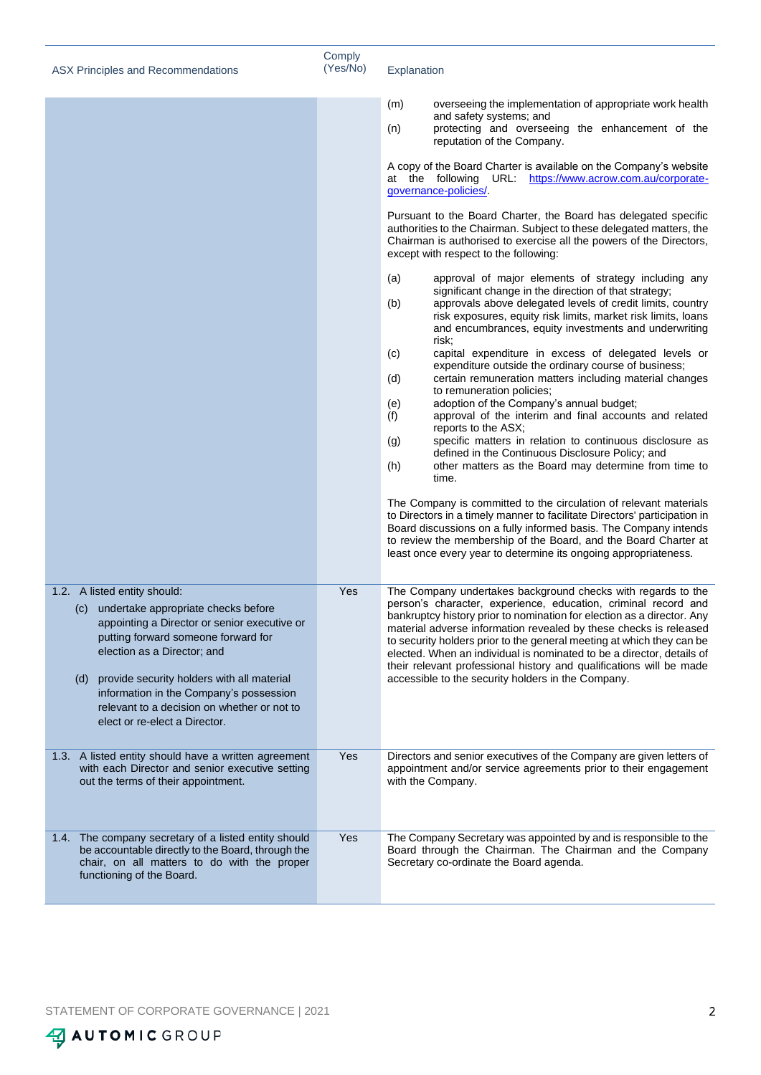| ASX Principles and Recommendations                                                                                                                                                                                                                                                                                                                                            | Comply<br>(Yes/No) | Explanation                                                                                                                                                                                                                                                                                                                                                                                                                                                                                                                                                                                                                                                                                                                                                                                                                                                                                                                                                                                                                                                                                                                                                                            |
|-------------------------------------------------------------------------------------------------------------------------------------------------------------------------------------------------------------------------------------------------------------------------------------------------------------------------------------------------------------------------------|--------------------|----------------------------------------------------------------------------------------------------------------------------------------------------------------------------------------------------------------------------------------------------------------------------------------------------------------------------------------------------------------------------------------------------------------------------------------------------------------------------------------------------------------------------------------------------------------------------------------------------------------------------------------------------------------------------------------------------------------------------------------------------------------------------------------------------------------------------------------------------------------------------------------------------------------------------------------------------------------------------------------------------------------------------------------------------------------------------------------------------------------------------------------------------------------------------------------|
|                                                                                                                                                                                                                                                                                                                                                                               |                    | overseeing the implementation of appropriate work health<br>(m)<br>and safety systems; and<br>protecting and overseeing the enhancement of the<br>(n)<br>reputation of the Company.                                                                                                                                                                                                                                                                                                                                                                                                                                                                                                                                                                                                                                                                                                                                                                                                                                                                                                                                                                                                    |
|                                                                                                                                                                                                                                                                                                                                                                               |                    | A copy of the Board Charter is available on the Company's website<br>at the following URL: https://www.acrow.com.au/corporate-<br>governance-policies/.                                                                                                                                                                                                                                                                                                                                                                                                                                                                                                                                                                                                                                                                                                                                                                                                                                                                                                                                                                                                                                |
|                                                                                                                                                                                                                                                                                                                                                                               |                    | Pursuant to the Board Charter, the Board has delegated specific<br>authorities to the Chairman. Subject to these delegated matters, the<br>Chairman is authorised to exercise all the powers of the Directors,<br>except with respect to the following:                                                                                                                                                                                                                                                                                                                                                                                                                                                                                                                                                                                                                                                                                                                                                                                                                                                                                                                                |
|                                                                                                                                                                                                                                                                                                                                                                               |                    | (a)<br>approval of major elements of strategy including any<br>significant change in the direction of that strategy;<br>approvals above delegated levels of credit limits, country<br>(b)<br>risk exposures, equity risk limits, market risk limits, loans<br>and encumbrances, equity investments and underwriting<br>risk;<br>(c)<br>capital expenditure in excess of delegated levels or<br>expenditure outside the ordinary course of business;<br>certain remuneration matters including material changes<br>(d)<br>to remuneration policies;<br>adoption of the Company's annual budget;<br>(e)<br>approval of the interim and final accounts and related<br>(f)<br>reports to the ASX;<br>specific matters in relation to continuous disclosure as<br>(g)<br>defined in the Continuous Disclosure Policy; and<br>other matters as the Board may determine from time to<br>(h)<br>time.<br>The Company is committed to the circulation of relevant materials<br>to Directors in a timely manner to facilitate Directors' participation in<br>Board discussions on a fully informed basis. The Company intends<br>to review the membership of the Board, and the Board Charter at |
|                                                                                                                                                                                                                                                                                                                                                                               |                    | least once every year to determine its ongoing appropriateness.                                                                                                                                                                                                                                                                                                                                                                                                                                                                                                                                                                                                                                                                                                                                                                                                                                                                                                                                                                                                                                                                                                                        |
| 1.2. A listed entity should:<br>(c) undertake appropriate checks before<br>appointing a Director or senior executive or<br>putting forward someone forward for<br>election as a Director; and<br>provide security holders with all material<br>(d)<br>information in the Company's possession<br>relevant to a decision on whether or not to<br>elect or re-elect a Director. | Yes                | The Company undertakes background checks with regards to the<br>person's character, experience, education, criminal record and<br>bankruptcy history prior to nomination for election as a director. Anv<br>material adverse information revealed by these checks is released<br>to security holders prior to the general meeting at which they can be<br>elected. When an individual is nominated to be a director, details of<br>their relevant professional history and qualifications will be made<br>accessible to the security holders in the Company.                                                                                                                                                                                                                                                                                                                                                                                                                                                                                                                                                                                                                           |
| 1.3. A listed entity should have a written agreement<br>with each Director and senior executive setting<br>out the terms of their appointment.                                                                                                                                                                                                                                | Yes                | Directors and senior executives of the Company are given letters of<br>appointment and/or service agreements prior to their engagement<br>with the Company.                                                                                                                                                                                                                                                                                                                                                                                                                                                                                                                                                                                                                                                                                                                                                                                                                                                                                                                                                                                                                            |
| 1.4. The company secretary of a listed entity should<br>be accountable directly to the Board, through the<br>chair, on all matters to do with the proper<br>functioning of the Board.                                                                                                                                                                                         | Yes                | The Company Secretary was appointed by and is responsible to the<br>Board through the Chairman. The Chairman and the Company<br>Secretary co-ordinate the Board agenda.                                                                                                                                                                                                                                                                                                                                                                                                                                                                                                                                                                                                                                                                                                                                                                                                                                                                                                                                                                                                                |

AUTOMIC GROUP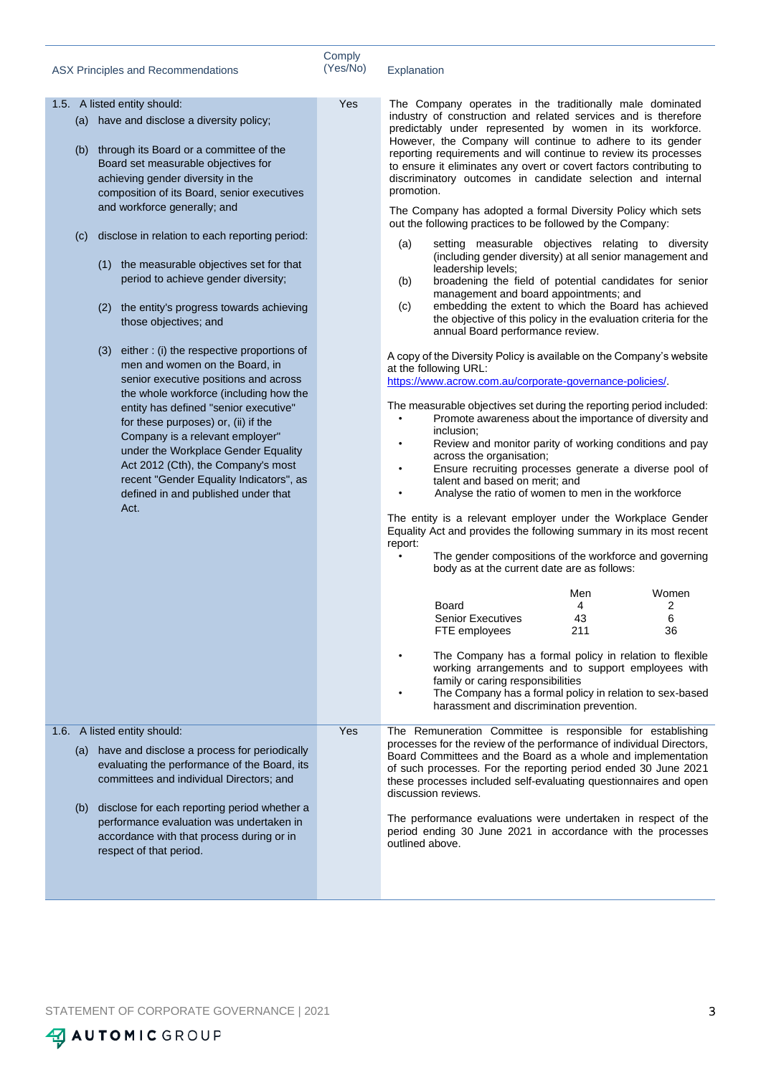|  | <b>ASX Principles and Recommendations</b> |
|--|-------------------------------------------|
|--|-------------------------------------------|

Explanation

|     | 1.5. A listed entity should:                                                                                                                                                                                | Yes | The Company operates in the traditionally male dominated                                                                                                                                                                                                                                                                                                                                                                        |  |
|-----|-------------------------------------------------------------------------------------------------------------------------------------------------------------------------------------------------------------|-----|---------------------------------------------------------------------------------------------------------------------------------------------------------------------------------------------------------------------------------------------------------------------------------------------------------------------------------------------------------------------------------------------------------------------------------|--|
|     | (a) have and disclose a diversity policy;<br>(b) through its Board or a committee of the<br>Board set measurable objectives for<br>achieving gender diversity in the                                        |     | industry of construction and related services and is therefore<br>predictably under represented by women in its workforce.<br>However, the Company will continue to adhere to its gender<br>reporting requirements and will continue to review its processes<br>to ensure it eliminates any overt or covert factors contributing to<br>discriminatory outcomes in candidate selection and internal                              |  |
|     | composition of its Board, senior executives                                                                                                                                                                 |     | promotion.                                                                                                                                                                                                                                                                                                                                                                                                                      |  |
|     | and workforce generally; and                                                                                                                                                                                |     | The Company has adopted a formal Diversity Policy which sets<br>out the following practices to be followed by the Company:                                                                                                                                                                                                                                                                                                      |  |
| (C) | disclose in relation to each reporting period:<br>(1) the measurable objectives set for that<br>period to achieve gender diversity;<br>(2) the entity's progress towards achieving<br>those objectives; and |     | (a)<br>setting measurable objectives relating to diversity<br>(including gender diversity) at all senior management and<br>leadership levels;<br>broadening the field of potential candidates for senior<br>(b)<br>management and board appointments; and<br>embedding the extent to which the Board has achieved<br>(c)<br>the objective of this policy in the evaluation criteria for the<br>annual Board performance review. |  |
|     | either: (i) the respective proportions of<br>(3)<br>men and women on the Board, in<br>senior executive positions and across<br>the whole workforce (including how the                                       |     | A copy of the Diversity Policy is available on the Company's website<br>at the following URL:<br>https://www.acrow.com.au/corporate-governance-policies/.                                                                                                                                                                                                                                                                       |  |
|     | entity has defined "senior executive"<br>for these purposes) or, (ii) if the<br>Company is a relevant employer"                                                                                             |     | The measurable objectives set during the reporting period included:<br>Promote awareness about the importance of diversity and<br>$\bullet$<br>inclusion;<br>Review and monitor parity of working conditions and pay<br>$\bullet$                                                                                                                                                                                               |  |
|     | under the Workplace Gender Equality<br>Act 2012 (Cth), the Company's most<br>recent "Gender Equality Indicators", as                                                                                        |     | across the organisation;<br>Ensure recruiting processes generate a diverse pool of<br>$\bullet$<br>talent and based on merit; and                                                                                                                                                                                                                                                                                               |  |
|     | defined in and published under that<br>Act.                                                                                                                                                                 |     | Analyse the ratio of women to men in the workforce<br>The entity is a relevant employer under the Workplace Gender<br>Equality Act and provides the following summary in its most recent                                                                                                                                                                                                                                        |  |
|     |                                                                                                                                                                                                             |     | report:<br>The gender compositions of the workforce and governing<br>$\bullet$<br>body as at the current date are as follows:                                                                                                                                                                                                                                                                                                   |  |
|     |                                                                                                                                                                                                             |     | Men<br>Women                                                                                                                                                                                                                                                                                                                                                                                                                    |  |
|     |                                                                                                                                                                                                             |     | Board<br>4<br>2<br><b>Senior Executives</b><br>43<br>6                                                                                                                                                                                                                                                                                                                                                                          |  |
|     |                                                                                                                                                                                                             |     | 36<br>FTE employees<br>211                                                                                                                                                                                                                                                                                                                                                                                                      |  |
|     |                                                                                                                                                                                                             |     | The Company has a formal policy in relation to flexible<br>working arrangements and to support employees with<br>family or caring responsibilities<br>The Company has a formal policy in relation to sex-based<br>harassment and discrimination prevention.                                                                                                                                                                     |  |
|     | 1.6. A listed entity should:                                                                                                                                                                                | Yes | The Remuneration Committee is responsible for establishing                                                                                                                                                                                                                                                                                                                                                                      |  |
|     | (a) have and disclose a process for periodically<br>evaluating the performance of the Board, its<br>committees and individual Directors; and                                                                |     | processes for the review of the performance of individual Directors,<br>Board Committees and the Board as a whole and implementation<br>of such processes. For the reporting period ended 30 June 2021<br>these processes included self-evaluating questionnaires and open<br>discussion reviews.                                                                                                                               |  |
| (b) | disclose for each reporting period whether a<br>performance evaluation was undertaken in<br>accordance with that process during or in<br>respect of that period.                                            |     | The performance evaluations were undertaken in respect of the<br>period ending 30 June 2021 in accordance with the processes<br>outlined above.                                                                                                                                                                                                                                                                                 |  |
|     |                                                                                                                                                                                                             |     |                                                                                                                                                                                                                                                                                                                                                                                                                                 |  |

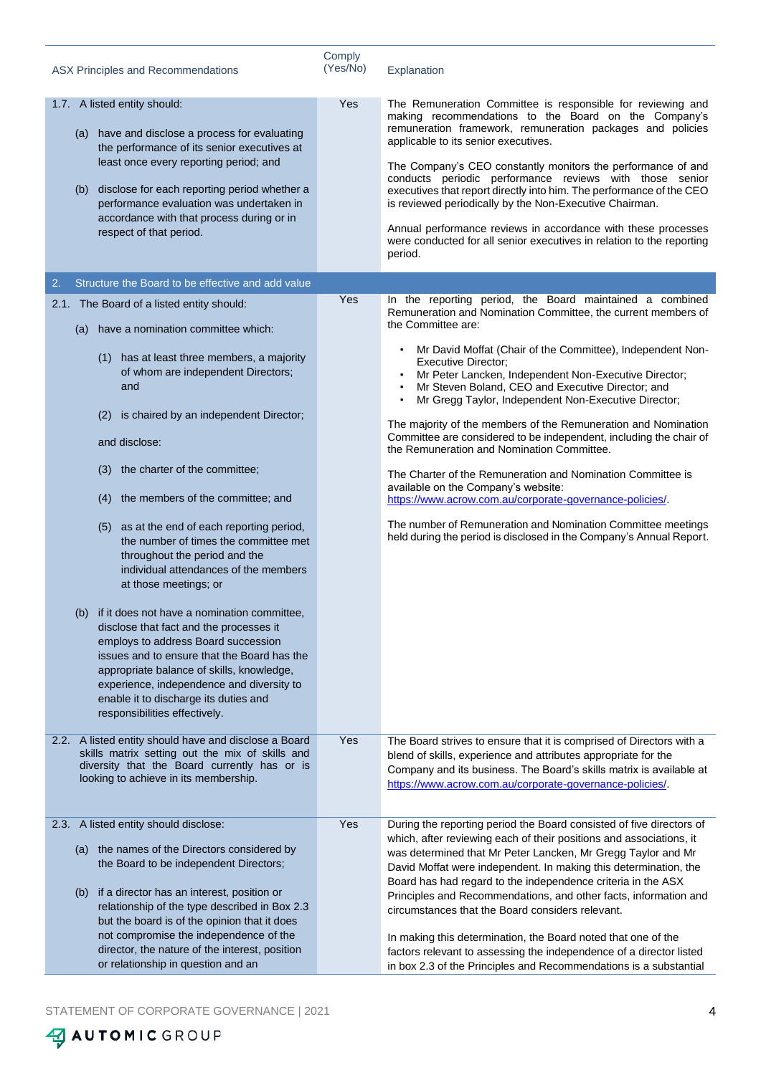| ASX Principles and Recommendations                                                                                                                                                                                                                                                                                                                                                                                                                                                                                                                                                                                                                                                                                                                                                                                                                                                      | Comply<br>(Yes/No) | Explanation                                                                                                                                                                                                                                                                                                                                                                                                                                                                                                                                                                                                                                                                                                                                                                                                                                                                                                      |
|-----------------------------------------------------------------------------------------------------------------------------------------------------------------------------------------------------------------------------------------------------------------------------------------------------------------------------------------------------------------------------------------------------------------------------------------------------------------------------------------------------------------------------------------------------------------------------------------------------------------------------------------------------------------------------------------------------------------------------------------------------------------------------------------------------------------------------------------------------------------------------------------|--------------------|------------------------------------------------------------------------------------------------------------------------------------------------------------------------------------------------------------------------------------------------------------------------------------------------------------------------------------------------------------------------------------------------------------------------------------------------------------------------------------------------------------------------------------------------------------------------------------------------------------------------------------------------------------------------------------------------------------------------------------------------------------------------------------------------------------------------------------------------------------------------------------------------------------------|
| 1.7. A listed entity should:<br>(a) have and disclose a process for evaluating<br>the performance of its senior executives at<br>least once every reporting period; and<br>disclose for each reporting period whether a<br>(b)<br>performance evaluation was undertaken in<br>accordance with that process during or in<br>respect of that period.                                                                                                                                                                                                                                                                                                                                                                                                                                                                                                                                      | Yes                | The Remuneration Committee is responsible for reviewing and<br>making recommendations to the Board on the Company's<br>remuneration framework, remuneration packages and policies<br>applicable to its senior executives.<br>The Company's CEO constantly monitors the performance of and<br>conducts periodic performance reviews with those senior<br>executives that report directly into him. The performance of the CEO<br>is reviewed periodically by the Non-Executive Chairman.<br>Annual performance reviews in accordance with these processes<br>were conducted for all senior executives in relation to the reporting<br>period.                                                                                                                                                                                                                                                                     |
| Structure the Board to be effective and add value<br>2.                                                                                                                                                                                                                                                                                                                                                                                                                                                                                                                                                                                                                                                                                                                                                                                                                                 |                    |                                                                                                                                                                                                                                                                                                                                                                                                                                                                                                                                                                                                                                                                                                                                                                                                                                                                                                                  |
| 2.1. The Board of a listed entity should:<br>have a nomination committee which:<br>(a)<br>(1) has at least three members, a majority<br>of whom are independent Directors;<br>and<br>is chaired by an independent Director;<br>(2)<br>and disclose:<br>the charter of the committee;<br>(3)<br>(4) the members of the committee; and<br>(5) as at the end of each reporting period,<br>the number of times the committee met<br>throughout the period and the<br>individual attendances of the members<br>at those meetings; or<br>(b) if it does not have a nomination committee,<br>disclose that fact and the processes it<br>employs to address Board succession<br>issues and to ensure that the Board has the<br>appropriate balance of skills, knowledge,<br>experience, independence and diversity to<br>enable it to discharge its duties and<br>responsibilities effectively. | Yes                | In the reporting period, the Board maintained a combined<br>Remuneration and Nomination Committee, the current members of<br>the Committee are:<br>Mr David Moffat (Chair of the Committee), Independent Non-<br><b>Executive Director:</b><br>Mr Peter Lancken, Independent Non-Executive Director;<br>Mr Steven Boland, CEO and Executive Director; and<br>Mr Gregg Taylor, Independent Non-Executive Director;<br>The majority of the members of the Remuneration and Nomination<br>Committee are considered to be independent, including the chair of<br>the Remuneration and Nomination Committee.<br>The Charter of the Remuneration and Nomination Committee is<br>available on the Company's website:<br>https://www.acrow.com.au/corporate-governance-policies/.<br>The number of Remuneration and Nomination Committee meetings<br>held during the period is disclosed in the Company's Annual Report. |
|                                                                                                                                                                                                                                                                                                                                                                                                                                                                                                                                                                                                                                                                                                                                                                                                                                                                                         |                    |                                                                                                                                                                                                                                                                                                                                                                                                                                                                                                                                                                                                                                                                                                                                                                                                                                                                                                                  |
| 2.2. A listed entity should have and disclose a Board<br>skills matrix setting out the mix of skills and<br>diversity that the Board currently has or is<br>looking to achieve in its membership.                                                                                                                                                                                                                                                                                                                                                                                                                                                                                                                                                                                                                                                                                       | Yes                | The Board strives to ensure that it is comprised of Directors with a<br>blend of skills, experience and attributes appropriate for the<br>Company and its business. The Board's skills matrix is available at<br>https://www.acrow.com.au/corporate-governance-policies/.                                                                                                                                                                                                                                                                                                                                                                                                                                                                                                                                                                                                                                        |
| 2.3. A listed entity should disclose:<br>(a) the names of the Directors considered by<br>the Board to be independent Directors;<br>if a director has an interest, position or<br>(b)<br>relationship of the type described in Box 2.3<br>but the board is of the opinion that it does<br>not compromise the independence of the<br>director, the nature of the interest, position<br>or relationship in question and an                                                                                                                                                                                                                                                                                                                                                                                                                                                                 | Yes                | During the reporting period the Board consisted of five directors of<br>which, after reviewing each of their positions and associations, it<br>was determined that Mr Peter Lancken, Mr Gregg Taylor and Mr<br>David Moffat were independent. In making this determination, the<br>Board has had regard to the independence criteria in the ASX<br>Principles and Recommendations, and other facts, information and<br>circumstances that the Board considers relevant.<br>In making this determination, the Board noted that one of the<br>factors relevant to assessing the independence of a director listed<br>in box 2.3 of the Principles and Recommendations is a substantial                                                                                                                                                                                                                             |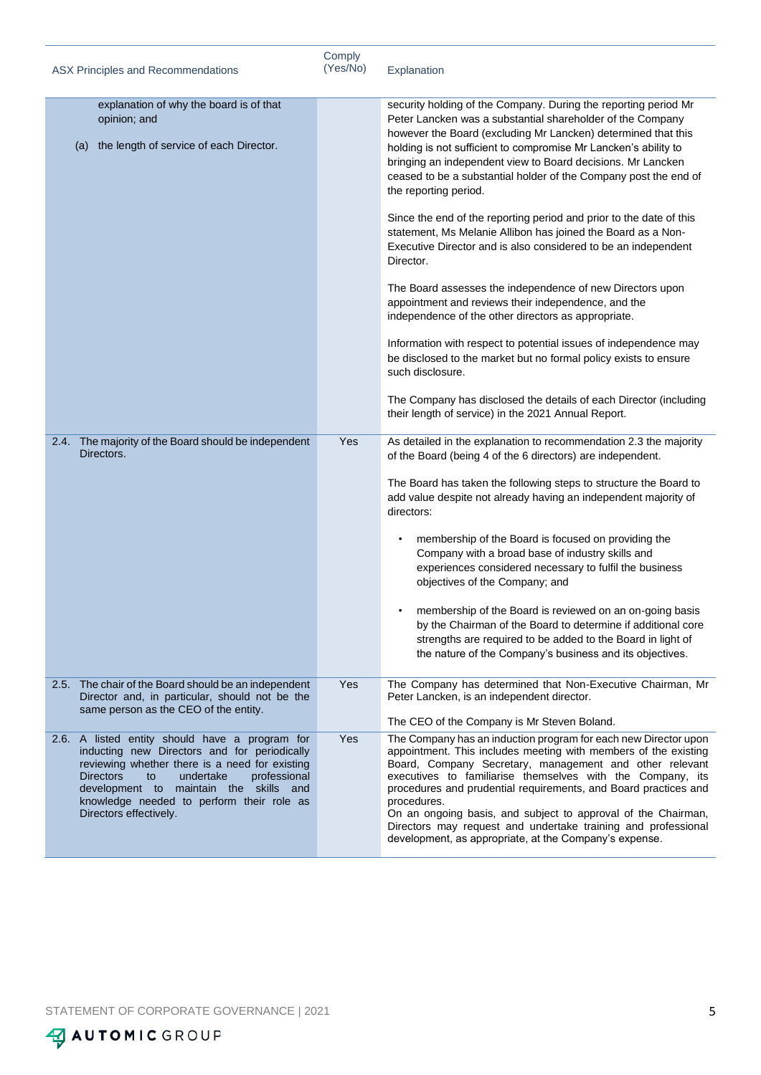| ASX Principles and Recommendations                                                                                                                                                                                                                                                                                       | Comply<br>(Yes/No) | Explanation                                                                                                                                                                                                                                                                                                                                                                                                                                                                                                                                                                                                                                                                                                                                                                                                                                                                                                                                                                                                                                                                                                            |
|--------------------------------------------------------------------------------------------------------------------------------------------------------------------------------------------------------------------------------------------------------------------------------------------------------------------------|--------------------|------------------------------------------------------------------------------------------------------------------------------------------------------------------------------------------------------------------------------------------------------------------------------------------------------------------------------------------------------------------------------------------------------------------------------------------------------------------------------------------------------------------------------------------------------------------------------------------------------------------------------------------------------------------------------------------------------------------------------------------------------------------------------------------------------------------------------------------------------------------------------------------------------------------------------------------------------------------------------------------------------------------------------------------------------------------------------------------------------------------------|
| explanation of why the board is of that<br>opinion; and<br>the length of service of each Director.<br>(a)                                                                                                                                                                                                                |                    | security holding of the Company. During the reporting period Mr<br>Peter Lancken was a substantial shareholder of the Company<br>however the Board (excluding Mr Lancken) determined that this<br>holding is not sufficient to compromise Mr Lancken's ability to<br>bringing an independent view to Board decisions. Mr Lancken<br>ceased to be a substantial holder of the Company post the end of<br>the reporting period.<br>Since the end of the reporting period and prior to the date of this<br>statement, Ms Melanie Allibon has joined the Board as a Non-<br>Executive Director and is also considered to be an independent<br>Director.<br>The Board assesses the independence of new Directors upon<br>appointment and reviews their independence, and the<br>independence of the other directors as appropriate.<br>Information with respect to potential issues of independence may<br>be disclosed to the market but no formal policy exists to ensure<br>such disclosure.<br>The Company has disclosed the details of each Director (including<br>their length of service) in the 2021 Annual Report. |
| 2.4. The majority of the Board should be independent<br>Directors.                                                                                                                                                                                                                                                       | Yes                | As detailed in the explanation to recommendation 2.3 the majority<br>of the Board (being 4 of the 6 directors) are independent.<br>The Board has taken the following steps to structure the Board to<br>add value despite not already having an independent majority of<br>directors:<br>membership of the Board is focused on providing the<br>Company with a broad base of industry skills and<br>experiences considered necessary to fulfil the business<br>objectives of the Company; and<br>membership of the Board is reviewed on an on-going basis<br>by the Chairman of the Board to determine if additional core<br>strengths are required to be added to the Board in light of<br>the nature of the Company's business and its objectives.                                                                                                                                                                                                                                                                                                                                                                   |
| 2.5. The chair of the Board should be an independent<br>Director and, in particular, should not be the<br>same person as the CEO of the entity.                                                                                                                                                                          | Yes                | The Company has determined that Non-Executive Chairman, Mr<br>Peter Lancken, is an independent director.<br>The CEO of the Company is Mr Steven Boland.                                                                                                                                                                                                                                                                                                                                                                                                                                                                                                                                                                                                                                                                                                                                                                                                                                                                                                                                                                |
| 2.6. A listed entity should have a program for<br>inducting new Directors and for periodically<br>reviewing whether there is a need for existing<br><b>Directors</b><br>undertake<br>professional<br>to<br>development to maintain the skills and<br>knowledge needed to perform their role as<br>Directors effectively. | Yes                | The Company has an induction program for each new Director upon<br>appointment. This includes meeting with members of the existing<br>Board, Company Secretary, management and other relevant<br>executives to familiarise themselves with the Company, its<br>procedures and prudential requirements, and Board practices and<br>procedures.<br>On an ongoing basis, and subject to approval of the Chairman,<br>Directors may request and undertake training and professional<br>development, as appropriate, at the Company's expense.                                                                                                                                                                                                                                                                                                                                                                                                                                                                                                                                                                              |

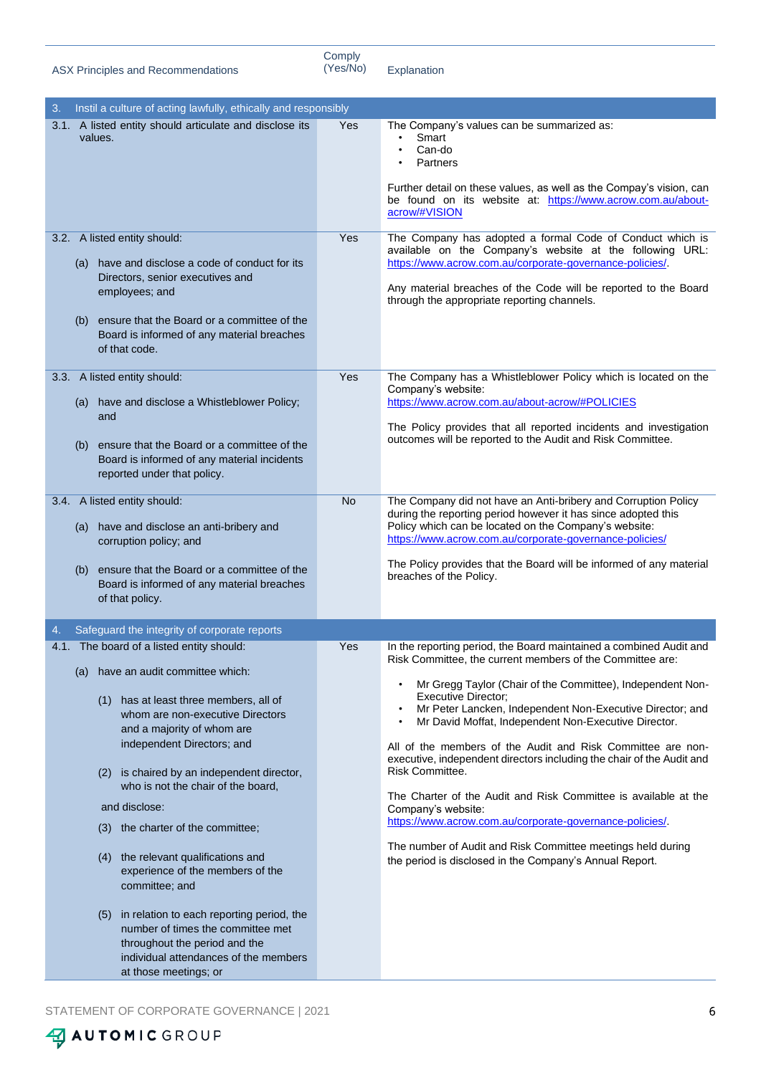ASX Principles and Recommendations

Comply<br>(Yes/No)

Explanation

| Instil a culture of acting lawfully, ethically and responsibly |                                                                                                                                                                                                                                                                                                                                                                                                                                                                                                                                                                                                                                                                                                                                                                                                              |
|----------------------------------------------------------------|--------------------------------------------------------------------------------------------------------------------------------------------------------------------------------------------------------------------------------------------------------------------------------------------------------------------------------------------------------------------------------------------------------------------------------------------------------------------------------------------------------------------------------------------------------------------------------------------------------------------------------------------------------------------------------------------------------------------------------------------------------------------------------------------------------------|
| Yes                                                            | The Company's values can be summarized as:<br>Smart<br>٠<br>Can-do<br>Partners<br>$\bullet$<br>Further detail on these values, as well as the Compay's vision, can<br>be found on its website at: https://www.acrow.com.au/about-<br>acrow/#VISION                                                                                                                                                                                                                                                                                                                                                                                                                                                                                                                                                           |
| Yes                                                            | The Company has adopted a formal Code of Conduct which is<br>available on the Company's website at the following URL:<br>https://www.acrow.com.au/corporate-governance-policies/.<br>Any material breaches of the Code will be reported to the Board<br>through the appropriate reporting channels.                                                                                                                                                                                                                                                                                                                                                                                                                                                                                                          |
| Yes                                                            | The Company has a Whistleblower Policy which is located on the<br>Company's website:<br>https://www.acrow.com.au/about-acrow/#POLICIES<br>The Policy provides that all reported incidents and investigation<br>outcomes will be reported to the Audit and Risk Committee.                                                                                                                                                                                                                                                                                                                                                                                                                                                                                                                                    |
| <b>No</b>                                                      | The Company did not have an Anti-bribery and Corruption Policy<br>during the reporting period however it has since adopted this<br>Policy which can be located on the Company's website:<br>https://www.acrow.com.au/corporate-governance-policies/<br>The Policy provides that the Board will be informed of any material<br>breaches of the Policy.                                                                                                                                                                                                                                                                                                                                                                                                                                                        |
|                                                                |                                                                                                                                                                                                                                                                                                                                                                                                                                                                                                                                                                                                                                                                                                                                                                                                              |
| Yes                                                            | In the reporting period, the Board maintained a combined Audit and<br>Risk Committee, the current members of the Committee are:<br>Mr Gregg Taylor (Chair of the Committee), Independent Non-<br>٠<br><b>Executive Director;</b><br>Mr Peter Lancken, Independent Non-Executive Director; and<br>Mr David Moffat, Independent Non-Executive Director.<br>$\bullet$<br>All of the members of the Audit and Risk Committee are non-<br>executive, independent directors including the chair of the Audit and<br>Risk Committee.<br>The Charter of the Audit and Risk Committee is available at the<br>Company's website:<br>https://www.acrow.com.au/corporate-governance-policies/.<br>The number of Audit and Risk Committee meetings held during<br>the period is disclosed in the Company's Annual Report. |
|                                                                |                                                                                                                                                                                                                                                                                                                                                                                                                                                                                                                                                                                                                                                                                                                                                                                                              |

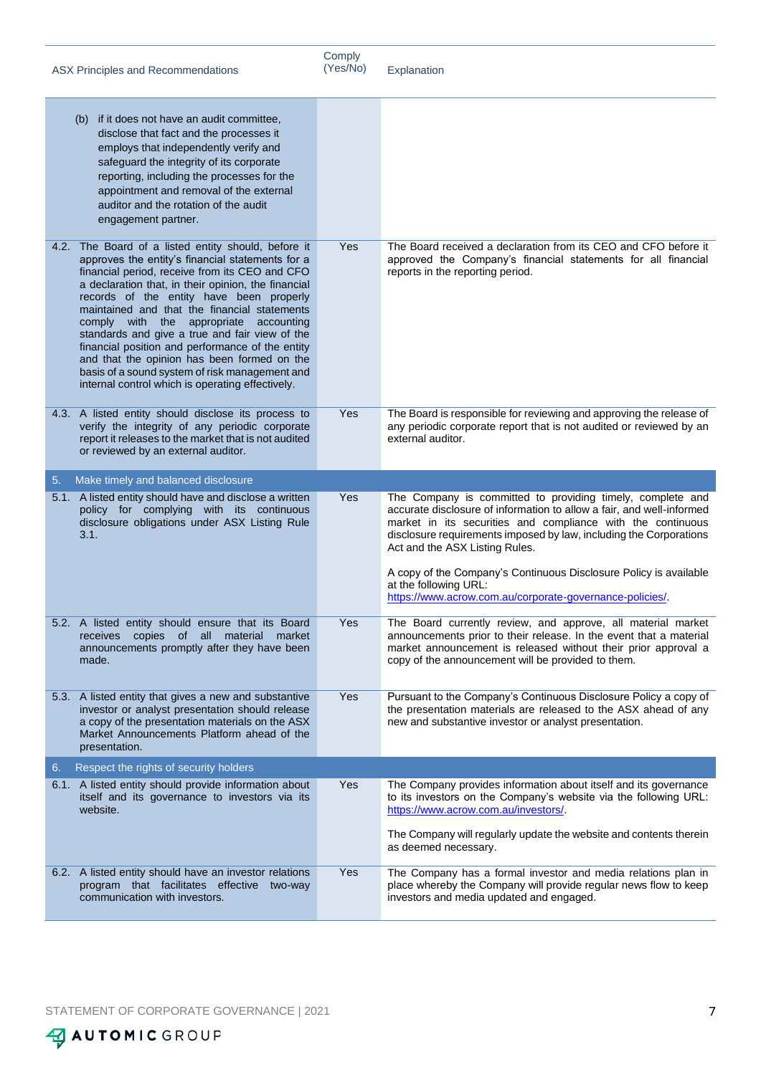|    | ASX Principles and Recommendations                                                                                                                                                                                                                                                                                                                                                                                                                                                                                                                                                                                | Comply<br>(Yes/No) | Explanation                                                                                                                                                                                                                                                                                                                                                                                                                                                          |
|----|-------------------------------------------------------------------------------------------------------------------------------------------------------------------------------------------------------------------------------------------------------------------------------------------------------------------------------------------------------------------------------------------------------------------------------------------------------------------------------------------------------------------------------------------------------------------------------------------------------------------|--------------------|----------------------------------------------------------------------------------------------------------------------------------------------------------------------------------------------------------------------------------------------------------------------------------------------------------------------------------------------------------------------------------------------------------------------------------------------------------------------|
|    | (b) if it does not have an audit committee,<br>disclose that fact and the processes it<br>employs that independently verify and<br>safeguard the integrity of its corporate<br>reporting, including the processes for the<br>appointment and removal of the external<br>auditor and the rotation of the audit<br>engagement partner.                                                                                                                                                                                                                                                                              |                    |                                                                                                                                                                                                                                                                                                                                                                                                                                                                      |
|    | 4.2. The Board of a listed entity should, before it<br>approves the entity's financial statements for a<br>financial period, receive from its CEO and CFO<br>a declaration that, in their opinion, the financial<br>records of the entity have been properly<br>maintained and that the financial statements<br>comply with the appropriate accounting<br>standards and give a true and fair view of the<br>financial position and performance of the entity<br>and that the opinion has been formed on the<br>basis of a sound system of risk management and<br>internal control which is operating effectively. | Yes                | The Board received a declaration from its CEO and CFO before it<br>approved the Company's financial statements for all financial<br>reports in the reporting period.                                                                                                                                                                                                                                                                                                 |
|    | 4.3. A listed entity should disclose its process to<br>verify the integrity of any periodic corporate<br>report it releases to the market that is not audited<br>or reviewed by an external auditor.                                                                                                                                                                                                                                                                                                                                                                                                              | Yes                | The Board is responsible for reviewing and approving the release of<br>any periodic corporate report that is not audited or reviewed by an<br>external auditor.                                                                                                                                                                                                                                                                                                      |
| 5. | Make timely and balanced disclosure                                                                                                                                                                                                                                                                                                                                                                                                                                                                                                                                                                               |                    |                                                                                                                                                                                                                                                                                                                                                                                                                                                                      |
|    | 5.1. A listed entity should have and disclose a written<br>policy for complying with its continuous<br>disclosure obligations under ASX Listing Rule<br>3.1.                                                                                                                                                                                                                                                                                                                                                                                                                                                      | Yes                | The Company is committed to providing timely, complete and<br>accurate disclosure of information to allow a fair, and well-informed<br>market in its securities and compliance with the continuous<br>disclosure requirements imposed by law, including the Corporations<br>Act and the ASX Listing Rules.<br>A copy of the Company's Continuous Disclosure Policy is available<br>at the following URL:<br>https://www.acrow.com.au/corporate-governance-policies/. |
|    | 5.2. A listed entity should ensure that its Board<br>receives copies of all material market<br>announcements promptly after they have been<br>made.                                                                                                                                                                                                                                                                                                                                                                                                                                                               | Yes                | The Board currently review, and approve, all material market<br>announcements prior to their release. In the event that a material<br>market announcement is released without their prior approval a<br>copy of the announcement will be provided to them.                                                                                                                                                                                                           |
|    | 5.3. A listed entity that gives a new and substantive<br>investor or analyst presentation should release<br>a copy of the presentation materials on the ASX<br>Market Announcements Platform ahead of the<br>presentation.                                                                                                                                                                                                                                                                                                                                                                                        | Yes                | Pursuant to the Company's Continuous Disclosure Policy a copy of<br>the presentation materials are released to the ASX ahead of any<br>new and substantive investor or analyst presentation.                                                                                                                                                                                                                                                                         |
| 6. | Respect the rights of security holders                                                                                                                                                                                                                                                                                                                                                                                                                                                                                                                                                                            |                    |                                                                                                                                                                                                                                                                                                                                                                                                                                                                      |
|    | 6.1. A listed entity should provide information about<br>itself and its governance to investors via its<br>website.                                                                                                                                                                                                                                                                                                                                                                                                                                                                                               | Yes                | The Company provides information about itself and its governance<br>to its investors on the Company's website via the following URL:<br>https://www.acrow.com.au/investors/.<br>The Company will regularly update the website and contents therein<br>as deemed necessary.                                                                                                                                                                                           |
|    | 6.2. A listed entity should have an investor relations<br>program that facilitates effective two-way<br>communication with investors.                                                                                                                                                                                                                                                                                                                                                                                                                                                                             | Yes                | The Company has a formal investor and media relations plan in<br>place whereby the Company will provide regular news flow to keep<br>investors and media updated and engaged.                                                                                                                                                                                                                                                                                        |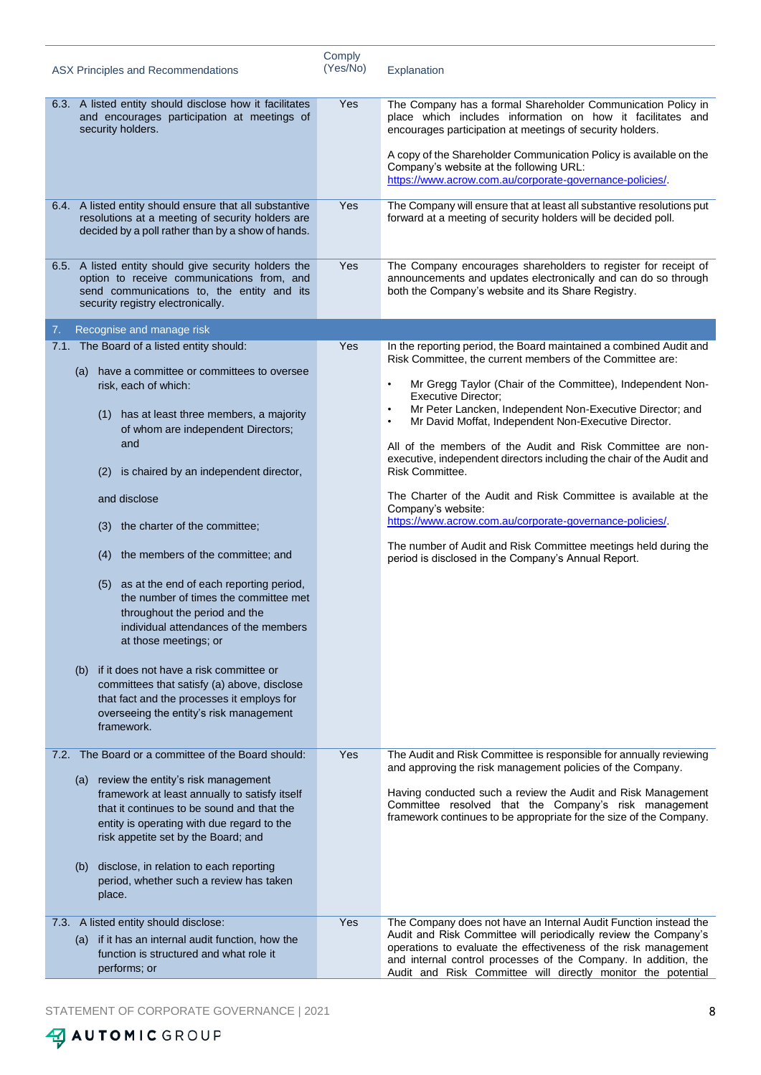| ASX Principles and Recommendations                                                                                                                                                                                          | Comply<br>(Yes/No) | Explanation                                                                                                                                                                                                                                                                                                                                                          |
|-----------------------------------------------------------------------------------------------------------------------------------------------------------------------------------------------------------------------------|--------------------|----------------------------------------------------------------------------------------------------------------------------------------------------------------------------------------------------------------------------------------------------------------------------------------------------------------------------------------------------------------------|
| 6.3. A listed entity should disclose how it facilitates<br>and encourages participation at meetings of<br>security holders.                                                                                                 | Yes                | The Company has a formal Shareholder Communication Policy in<br>place which includes information on how it facilitates and<br>encourages participation at meetings of security holders.<br>A copy of the Shareholder Communication Policy is available on the<br>Company's website at the following URL:<br>https://www.acrow.com.au/corporate-governance-policies/. |
| 6.4. A listed entity should ensure that all substantive<br>resolutions at a meeting of security holders are<br>decided by a poll rather than by a show of hands.                                                            | Yes                | The Company will ensure that at least all substantive resolutions put<br>forward at a meeting of security holders will be decided poll.                                                                                                                                                                                                                              |
| 6.5. A listed entity should give security holders the<br>option to receive communications from, and<br>send communications to, the entity and its<br>security registry electronically.                                      | Yes                | The Company encourages shareholders to register for receipt of<br>announcements and updates electronically and can do so through<br>both the Company's website and its Share Registry.                                                                                                                                                                               |
| 7.<br>Recognise and manage risk                                                                                                                                                                                             |                    |                                                                                                                                                                                                                                                                                                                                                                      |
| 7.1. The Board of a listed entity should:                                                                                                                                                                                   | Yes                | In the reporting period, the Board maintained a combined Audit and                                                                                                                                                                                                                                                                                                   |
| (a) have a committee or committees to oversee<br>risk, each of which:                                                                                                                                                       |                    | Risk Committee, the current members of the Committee are:<br>Mr Gregg Taylor (Chair of the Committee), Independent Non-<br>$\bullet$<br><b>Executive Director;</b>                                                                                                                                                                                                   |
| has at least three members, a majority<br>(1)<br>of whom are independent Directors;<br>and                                                                                                                                  |                    | Mr Peter Lancken, Independent Non-Executive Director; and<br>$\bullet$<br>Mr David Moffat, Independent Non-Executive Director.<br>$\bullet$<br>All of the members of the Audit and Risk Committee are non-                                                                                                                                                           |
| is chaired by an independent director,<br>(2)                                                                                                                                                                               |                    | executive, independent directors including the chair of the Audit and<br>Risk Committee.                                                                                                                                                                                                                                                                             |
| and disclose                                                                                                                                                                                                                |                    | The Charter of the Audit and Risk Committee is available at the<br>Company's website:                                                                                                                                                                                                                                                                                |
| the charter of the committee;<br>(3)                                                                                                                                                                                        |                    | https://www.acrow.com.au/corporate-governance-policies/.                                                                                                                                                                                                                                                                                                             |
| the members of the committee; and<br>(4)                                                                                                                                                                                    |                    | The number of Audit and Risk Committee meetings held during the<br>period is disclosed in the Company's Annual Report.                                                                                                                                                                                                                                               |
| as at the end of each reporting period,<br>(5)<br>the number of times the committee met<br>throughout the period and the<br>individual attendances of the members<br>at those meetings; or                                  |                    |                                                                                                                                                                                                                                                                                                                                                                      |
| (b) if it does not have a risk committee or<br>committees that satisfy (a) above, disclose<br>that fact and the processes it employs for<br>overseeing the entity's risk management<br>framework.                           |                    |                                                                                                                                                                                                                                                                                                                                                                      |
| 7.2. The Board or a committee of the Board should:                                                                                                                                                                          | Yes                | The Audit and Risk Committee is responsible for annually reviewing<br>and approving the risk management policies of the Company.                                                                                                                                                                                                                                     |
| (a) review the entity's risk management<br>framework at least annually to satisfy itself<br>that it continues to be sound and that the<br>entity is operating with due regard to the<br>risk appetite set by the Board; and |                    | Having conducted such a review the Audit and Risk Management<br>Committee resolved that the Company's risk management<br>framework continues to be appropriate for the size of the Company.                                                                                                                                                                          |
| disclose, in relation to each reporting<br>(b)<br>period, whether such a review has taken<br>place.                                                                                                                         |                    |                                                                                                                                                                                                                                                                                                                                                                      |
| 7.3. A listed entity should disclose:                                                                                                                                                                                       | Yes                | The Company does not have an Internal Audit Function instead the                                                                                                                                                                                                                                                                                                     |
| (a) if it has an internal audit function, how the<br>function is structured and what role it<br>performs; or                                                                                                                |                    | Audit and Risk Committee will periodically review the Company's<br>operations to evaluate the effectiveness of the risk management<br>and internal control processes of the Company. In addition, the<br>Audit and Risk Committee will directly monitor the potential                                                                                                |